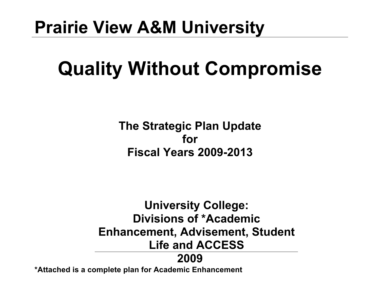# **Prairie View A&M University**

# **Quality Without Compromise**

**The Strategic Plan Update for Fiscal Years 2009-2013**

**University College: Divisions of \*Academic Enhancement, Advisement, Student Life and ACCESS**

# **2009**

**\*Attached is a complete plan for Academic Enhancement**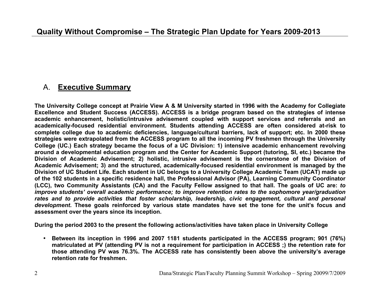#### A. **Executive Summary**

**The University College concept at Prairie View A & M University started in 1996 with the Academy for Collegiate Excellence and Student Success (ACCESS). ACCESS is a bridge program based on the strategies of intense academic enhancement, holistic/intrusive advisement coupled with support services and referrals and an academically-focused residential environment. Students attending ACCESS are often considered at-risk to complete college due to academic deficiencies, language/cultural barriers, lack of support; etc. In 2000 these strategies were extrapolated from the ACCESS program to all the incoming PV freshmen through the University College (UC.) Each strategy became the focus of a UC Division: 1) intensive academic enhancement revolving around a developmental education program and the Center for Academic Support (tutoring, SI, etc.) became the Division of Academic Advisement; 2) holistic, intrusive advisement is the cornerstone of the Division of Academic Advisement; 3) and the structured, academically-focused residential environment is managed by the Division of UC Student Life. Each student in UC belongs to a University College Academic Team (UCAT) made up of the 102 students in a specific residence hall, the Professional Advisor (PA), Learning Community Coordinator (LCC), two Community Assistants (CA) and the Faculty Fellow assigned to that hall. The goals of UC are:** *to improve students' overall academic performance; to improve retention rates to the sophomore year/graduation rates and to provide activities that foster scholarship, leadership, civic engagement, cultural and personal development***. These goals reinforced by various state mandates have set the tone for the unit's focus and assessment over the years since its inception.**

**During the period 2003 to the present the following actions/activities have taken place in University College**

• **Between its inception in 1996 and 2007 1181 students participated in the ACCESS program; 901 (76%) matriculated at PV (attending PV is not a requirement for participation in ACCESS ;) the retention rate for those attending PV was 76.3%. The ACCESS rate has consistently been above the university's average retention rate for freshmen.**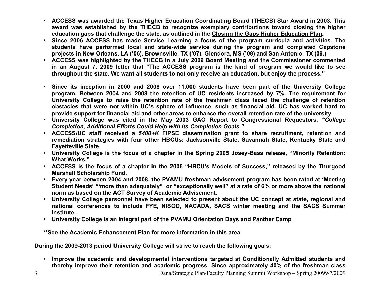- **ACCESS was awarded the Texas Higher Education Coordinating Board (THECB) Star Award in 2003. This award was established by the THECB to recognize exemplary contributions toward closing the higher education gaps that challenge the state, as outlined in the Closing the Gaps Higher Education Plan.**
- **Since 2006 ACCESS has made Service Learning a focus of the program curricula and activities. The students have performed local and state-wide service during the program and completed Capstone projects in New Orleans, LA ('06), Brownsville, TX ('07), Glendora, MS ('08) and San Antonio, TX (09.)**
- **ACCESS was highlighted by the THECB in a July 2009 Board Meeting and the Commissioner commented in an August 7, 2009 letter that "The ACCESS program is the kind of program we would like to see throughout the state. We want all students to not only receive an education, but enjoy the process."**
- **Since its inception in 2000 and 2008 over 11,000 students have been part of the University College program. Between 2004 and 2008 the retention of UC residents increased by 7%. The requirement for University College to raise the retention rate of the freshmen class faced the challenge of retention obstacles that were not within UC's sphere of influence, such as financial aid. UC has worked hard to provide support for financial aid and other areas to enhance the overall retention rate of the university.**
- **University College was cited in the May 2003 GAO Report to Congressional Requestors,** *"College Completion, Additional Efforts Could Help with Its Completion Goals."*
- **ACCESS/UC staff received a** *\$400+K* **FIPSE dissemination grant to share recruitment, retention and remediation strategies with four other HBCUs: Jacksonville State, Savannah State, Kentucky State and Fayetteville State.**
- **University College is the focus of a chapter in the Spring 2005 Josey-Bass release, "Minority Retention: What Works."**
- **ACCESS is the focus of a chapter in the 2006 "HBCU's Models of Success," released by the Thurgood Marshall Scholarship Fund.**
- **Every year between 2004 and 2008, the PVAMU freshman advisement program has been rated at 'Meeting Student Needs' "'more than adequately" or "exceptionally well" at a rate of 6% or more above the national norm as based on the ACT Survey of Academic Advisement.**
- **University College personnel have been selected to present about the UC concept at state, regional and national conferences to include FYE, NISOD, NACADA, SACS winter meeting and the SACS Summer Institute.**
- **University College is an integral part of the PVAMU Orientation Days and Panther Camp**

**\*\*See the Academic Enhancement Plan for more information in this area**

**During the 2009-2013 period University College will strive to reach the following goals:**

• **Improve the academic and developmental interventions targeted at Conditionally Admitted students and thereby improve their retention and academic progress. Since approximately 40% of the freshman class**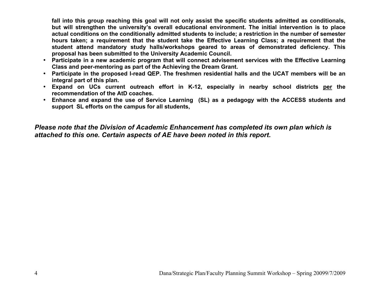**fall into this group reaching this goal will not only assist the specific students admitted as conditionals, but will strengthen the university's overall educational environment. The initial intervention is to place actual conditions on the conditionally admitted students to include; a restriction in the number of semester hours taken; a requirement that the student take the Effective Learning Class; a requirement that the student attend mandatory study halls/workshops geared to areas of demonstrated deficiency. This proposal has been submitted to the University Academic Council.**

- **Participate in a new academic program that will connect advisement services with the Effective Learning Class and peer-mentoring as part of the Achieving the Dream Grant.**
- **Participate in the proposed I-read QEP. The freshmen residential halls and the UCAT members will be an integral part of this plan.**
- **Expand on UCs current outreach effort in K-12, especially in nearby school districts per the recommendation of the AtD coaches.**
- **Enhance and expand the use of Service Learning (SL) as a pedagogy with the ACCESS students and support SL efforts on the campus for all students,**

*Please note that the Division of Academic Enhancement has completed its own plan which is attached to this one. Certain aspects of AE have been noted in this report.*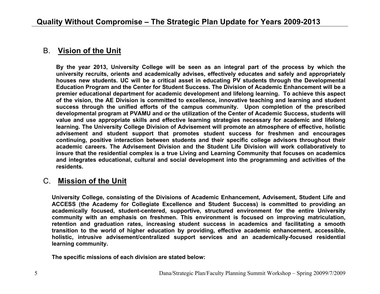#### B. **Vision of the Unit**

**By the year 2013, University College will be seen as an integral part of the process by which the university recruits, orients and academically advises, effectively educates and safely and appropriately houses new students. UC will be a critical asset in educating PV students through the Developmental Education Program and the Center for Student Success. The Division of Academic Enhancement will be a premier educational department for academic development and lifelong learning. To achieve this aspect of the vision, the AE Division is committed to excellence, innovative teaching and learning and student success through the unified efforts of the campus community. Upon completion of the prescribed developmental program at PVAMU and or the utilization of the Center of Academic Success, students will value and use appropriate skills and effective learning strategies necessary for academic and lifelong learning. The University College Division of Advisement will promote an atmosphere of effective, holistic advisement and student support that promotes student success for freshmen and encourages continuing, positive interaction between students and their specific college advisors throughout their academic careers. The Advisement Division and the Student Life Division will work collaboratively to insure that the residential complex is a true Living and Learning Community that focuses on academics and integrates educational, cultural and social development into the programming and activities of the residents.**

#### C. **Mission of the Unit**

**University College, consisting of the Divisions of Academic Enhancement, Advisement, Student Life and ACCESS (the Academy for Collegiate Excellence and Student Success) is committed to providing an academically focused, student-centered, supportive, structured environment for the entire University community with an emphasis on freshmen. This environment is focused on improving matriculation, retention and graduation rates, increasing student success in academics and facilitating a smooth transition to the world of higher education by providing, effective academic enhancement, accessible, holistic, intrusive advisement/centralized support services and an academically-focused residential learning community.**

**The specific missions of each division are stated below:**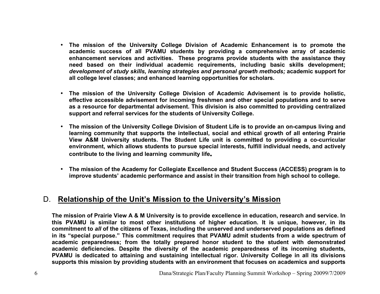- **The mission of the University College Division of Academic Enhancement is to promote the academic success of all PVAMU students by providing a comprehensive array of academic enhancement services and activities. These programs provide students with the assistance they need based on their individual academic requirements, including basic skills development;**  *development of study skills, learning strategies and personal growth methods;* **academic support for all college level classes; and enhanced learning opportunities for scholars.**
- **The mission of the University College Division of Academic Advisement is to provide holistic, effective accessible advisement for incoming freshmen and other special populations and to serve as a resource for departmental advisement. This division is also committed to providing centralized support and referral services for the students of University College.**
- **The mission of the University College Division of Student Life is to provide an on-campus living and learning community that supports the intellectual, social and ethical growth of all entering Prairie View A&M University students. The Student Life unit is committed to providing a co-curricular environment, which allows students to pursue special interests, fulfill individual needs, and actively contribute to the living and learning community life**.
- **The mission of the Academy for Collegiate Excellence and Student Success (ACCESS) program is to improve students' academic performance and assist in their transition from high school to college.**

#### D. **Relationship of the Unit's Mission to the University's Mission**

**The mission of Prairie View A & M University is to provide excellence in education, research and service. In this PVAMU is similar to most other institutions of higher education. It is unique, however, in its commitment to** *all* **of the citizens of Texas, including the unserved and underserved populations as defined in its "special purpose." This commitment requires that PVAMU admit students from a wide spectrum of academic preparedness; from the totally prepared honor student to the student with demonstrated academic deficiencies. Despite the diversity of the academic preparedness of its incoming students, PVAMU is dedicated to attaining and sustaining intellectual rigor. University College in all its divisions supports this mission by providing students with an environment that focuses on academics and supports**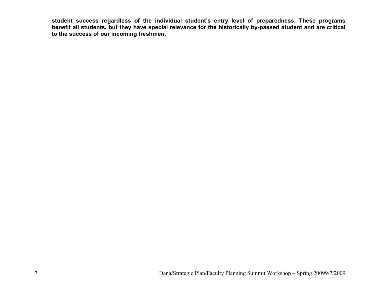**student success regardless of the individual student's entry level of preparedness. These programs benefit all students, but they have special relevance for the historically by-passed student and are critical to the success of our incoming freshmen.**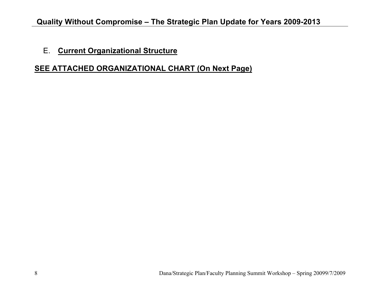## E. **Current Organizational Structure**

### **SEE ATTACHED ORGANIZATIONAL CHART (On Next Page)**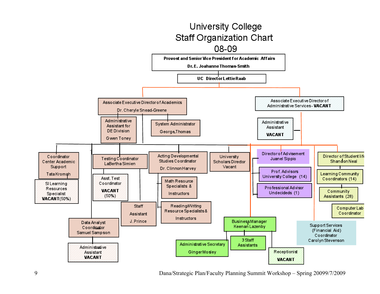

Dana/Strategic Plan/Faculty Planning Summit Workshop – Spring 20099/7/2009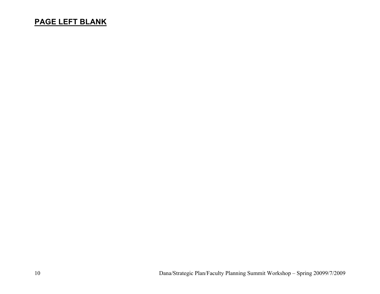## **PAGE LEFT BLANK**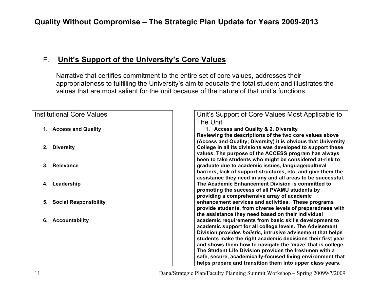#### F. **Unit's Support of the University's Core Values**

Narrative that certifies commitment to the entire set of core values, addresses their appropriateness to fulfilling the University's aim to educate the total student and illustrates the values that are most salient for the unit because of the nature of that unit's functions.

| <b>Institutional Core Values</b>   | Unit's Support of Core Values Most Applicable to                                                                  |
|------------------------------------|-------------------------------------------------------------------------------------------------------------------|
|                                    | The Unit                                                                                                          |
| 1. Access and Quality              | 1. Access and Quality & 2. Diversity                                                                              |
|                                    | Reviewing the descriptions of the two core values above                                                           |
|                                    | (Access and Quality; Diversity) it is obvious that University                                                     |
| <b>Diversity</b>                   | College in all its divisions was developed to support these                                                       |
|                                    | values. The purpose of the ACCESS program has always                                                              |
|                                    | been to take students who might be considered at-risk to                                                          |
| Relevance<br>$3_{-}$               | graduate due to academic issues, language/cultural                                                                |
|                                    | barriers, lack of support structures, etc. and give them the                                                      |
|                                    | assistance they need in any and all areas to be successful.                                                       |
| Leadership<br>4.                   | The Academic Enhancement Division is committed to                                                                 |
|                                    | promoting the success of all PVAMU students by                                                                    |
|                                    | providing a comprehensive array of academic                                                                       |
| <b>Social Responsibility</b><br>5. | enhancement services and activities. These programs<br>provide students, from diverse levels of preparedness with |
|                                    | the assistance they need based on their individual                                                                |
| <b>Accountability</b><br>6.        | academic requirements from basic skills development to                                                            |
|                                    | academic support for all college levels. The Advisement                                                           |
|                                    | Division provides <i>holistic</i> , intrusive advisement that helps                                               |
|                                    | students make the right academic decisions their first year                                                       |
|                                    | and shows them how to navigate the 'maze' that is college.                                                        |
|                                    | The Student Life Division provides the freshmen with a                                                            |
|                                    | safe, secure, academically-focused living environment that                                                        |
|                                    | helps prepare and transition them into upper class years.                                                         |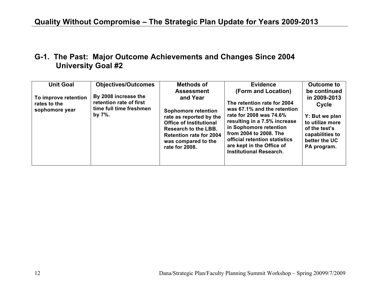#### **G-1. The Past: Major Outcome Achievements and Changes Since 2004 University Goal #2**

| <b>Unit Goal</b>                                       | <b>Objectives/Outcomes</b>                                                           | <b>Methods of</b>                                                                                                                                                                                                    | <b>Evidence</b>                                                                                                                                                                                                                                                                                  | <b>Outcome to</b>                                                                                                                              |
|--------------------------------------------------------|--------------------------------------------------------------------------------------|----------------------------------------------------------------------------------------------------------------------------------------------------------------------------------------------------------------------|--------------------------------------------------------------------------------------------------------------------------------------------------------------------------------------------------------------------------------------------------------------------------------------------------|------------------------------------------------------------------------------------------------------------------------------------------------|
| To improve retention<br>rates to the<br>sophomore year | By 2008 increase the<br>retention rate of first<br>time full time freshmen<br>by 7%. | <b>Assessment</b><br>and Year<br>Sophomore retention<br>rate as reported by the<br><b>Office of Institutional</b><br>Research to the LBB.<br><b>Retention rate for 2004</b><br>was compared to the<br>rate for 2008. | (Form and Location)<br>The retention rate for 2004<br>was 67.1% and the retention<br>rate for 2008 was 74.6%<br>resulting in a 7.5% increase<br>in Sophomore retention<br>from 2004 to 2008. The<br>official retention statistics<br>are kept in the Office of<br><b>Institutional Research.</b> | be continued<br>in 2009-2013<br>Cycle<br>Y: But we plan<br>to utilize more<br>of the test's<br>capabilities to<br>better the UC<br>PA program. |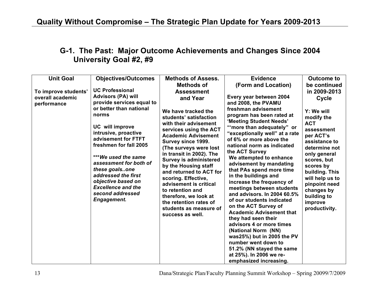### **G-1. The Past: Major Outcome Achievements and Changes Since 2004 University Goal #2, #9**

|                                                                             |                                                                                                                                                                                                                                                                                                                                                                                                                                       | <b>Methods of Assess.</b>                                                                                                                                                                                                                                                                                                                                                                                                                                                                                           | <b>Evidence</b>                                                                                                                                                                                                                                                                                                                                                                                                                                                                                                                                                                                                                                                                                                                                                                  | <b>Outcome to</b>                                                                                                                                                                                                                                                                                       |
|-----------------------------------------------------------------------------|---------------------------------------------------------------------------------------------------------------------------------------------------------------------------------------------------------------------------------------------------------------------------------------------------------------------------------------------------------------------------------------------------------------------------------------|---------------------------------------------------------------------------------------------------------------------------------------------------------------------------------------------------------------------------------------------------------------------------------------------------------------------------------------------------------------------------------------------------------------------------------------------------------------------------------------------------------------------|----------------------------------------------------------------------------------------------------------------------------------------------------------------------------------------------------------------------------------------------------------------------------------------------------------------------------------------------------------------------------------------------------------------------------------------------------------------------------------------------------------------------------------------------------------------------------------------------------------------------------------------------------------------------------------------------------------------------------------------------------------------------------------|---------------------------------------------------------------------------------------------------------------------------------------------------------------------------------------------------------------------------------------------------------------------------------------------------------|
| <b>Unit Goal</b><br>To improve students'<br>overall academic<br>performance | <b>Objectives/Outcomes</b><br><b>UC Professional</b><br><b>Advisors (PA) will</b><br>provide services equal to<br>or better than national<br>norms<br>UC will improve<br>intrusive, proactive<br>advisement for FTFT<br>freshmen for fall 2005<br>***We used the same<br>assessment for both of<br>these goalsone<br>addressed the first<br>objective based on<br><b>Excellence and the</b><br>second addressed<br><b>Engagement.</b> | Methods of<br><b>Assessment</b><br>and Year<br>We have tracked the<br>students' satisfaction<br>with their advisement<br>services using the ACT<br><b>Academic Advisement</b><br>Survey since 1999.<br>(The surveys were lost<br>in transit in 2002). The<br><b>Survey is administered</b><br>by the Housing staff<br>and returned to ACT for<br>scoring. Effective,<br>advisement is critical<br>to retention and<br>therefore, we look at<br>the retention rates of<br>students as measure of<br>success as well. | (Form and Location)<br>Every year between 2004<br>and 2008, the PVAMU<br>freshman advisement<br>program has been rated at<br>'Meeting Student Needs'<br>"more than adequately" or<br>"exceptionally well" at a rate<br>of 6% or more above the<br>national norm as indicated<br>the ACT Survey<br>We attempted to enhance<br>advisement by mandating<br>that PAs spend more time<br>in the buildings and<br>increase the frequency of<br>meetings between students<br>and advisors. In 2004 60.5%<br>of our students indicated<br>on the ACT Survey of<br><b>Academic Advisement that</b><br>they had seen their<br>advisors 4 or more times<br>(National Norm (NN)<br>was25%) but in 2005 the PV<br>number went down to<br>51.2% (NN stayed the same<br>at 25%). In 2006 we re- | be continued<br>in 2009-2013<br>Cycle<br>Y: We will<br>modify the<br><b>ACT</b><br>assessment<br>per ACT's<br>assistance to<br>determine not<br>only general<br>scores, but<br>scores by<br>building. This<br>will help us to<br>pinpoint need<br>changes by<br>building to<br>improve<br>productivity. |
|                                                                             |                                                                                                                                                                                                                                                                                                                                                                                                                                       |                                                                                                                                                                                                                                                                                                                                                                                                                                                                                                                     | emphasized increasing.                                                                                                                                                                                                                                                                                                                                                                                                                                                                                                                                                                                                                                                                                                                                                           |                                                                                                                                                                                                                                                                                                         |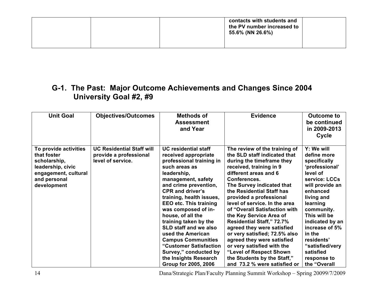|  | contacts with students and<br>the PV number increased to<br>55.6% (NN 26.6%) |  |
|--|------------------------------------------------------------------------------|--|
|  |                                                                              |  |

#### **G-1. The Past: Major Outcome Achievements and Changes Since 2004 University Goal #2, #9**

| <b>Unit Goal</b>                                                                                                                 | <b>Objectives/Outcomes</b>                                                      | <b>Methods of</b><br><b>Assessment</b><br>and Year                                                                                                                                                                                                                                                                                                                                                                                                                                                                | <b>Evidence</b>                                                                                                                                                                                                                                                                                                                                                                                                                                                                                                                                                                                           | <b>Outcome to</b><br>be continued<br>in 2009-2013<br><b>Cycle</b>                                                                                                                                                                                                                                           |
|----------------------------------------------------------------------------------------------------------------------------------|---------------------------------------------------------------------------------|-------------------------------------------------------------------------------------------------------------------------------------------------------------------------------------------------------------------------------------------------------------------------------------------------------------------------------------------------------------------------------------------------------------------------------------------------------------------------------------------------------------------|-----------------------------------------------------------------------------------------------------------------------------------------------------------------------------------------------------------------------------------------------------------------------------------------------------------------------------------------------------------------------------------------------------------------------------------------------------------------------------------------------------------------------------------------------------------------------------------------------------------|-------------------------------------------------------------------------------------------------------------------------------------------------------------------------------------------------------------------------------------------------------------------------------------------------------------|
| To provide activities<br>that foster<br>scholarship,<br>leadership, civic<br>engagement, cultural<br>and personal<br>development | <b>UC Residential Staff will</b><br>provide a professional<br>level of service. | <b>UC residential staff</b><br>received appropriate<br>professional training in<br>such areas as<br>leadership,<br>management, safety<br>and crime prevention,<br><b>CPR and driver's</b><br>training, health issues,<br><b>EEO etc. This training</b><br>was composed of in-<br>house, of all the<br>training taken by the<br><b>SLD staff and we also</b><br>used the American<br><b>Campus Communities</b><br>"Customer Satisfaction<br>Survey," conducted by<br>the Insights Research<br>Group for 2005, 2006 | The review of the training of<br>the SLD staff indicated that<br>during the timeframe they<br>received, training in 9<br>different areas and 6<br>Conferences.<br>The Survey indicated that<br>the Residential Staff has<br>provided a professional<br>level of service. In the area<br>of "Overall Satisfaction with<br>the Key Service Area of<br><b>Residential Staff," 72.7%</b><br>agreed they were satisfied<br>or very satisfied; 72.5% also<br>agreed they were satisfied<br>or very satisfied with the<br>"Level of Respect Shown<br>the Students by the Staff,"<br>and 73.2 % were satisfied or | Y: We will<br>define more<br>specifically<br>'professional'<br>level of<br>service: LCCs<br>will provide an<br>enhanced<br>living and<br>learning<br>community.<br>This will be<br>indicated by an<br>increase of 5%<br>in the<br>residents'<br>"satisfied/very<br>satisfied<br>response to<br>the "Overall |

14 Dana/Strategic Plan/Faculty Planning Summit Workshop – Spring 20099/7/2009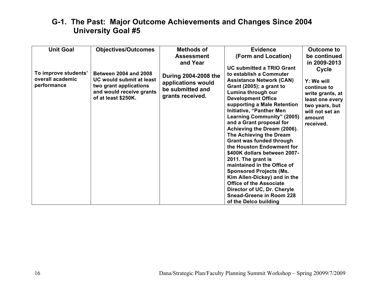#### **G-1. The Past: Major Outcome Achievements and Changes Since 2004 University Goal #5**

| <b>Unit Goal</b>                         | <b>Objectives/Outcomes</b>                         | <b>Methods of</b>    | <b>Evidence</b>                                                | <b>Outcome to</b>                   |
|------------------------------------------|----------------------------------------------------|----------------------|----------------------------------------------------------------|-------------------------------------|
|                                          |                                                    | <b>Assessment</b>    | (Form and Location)                                            | be continued                        |
|                                          |                                                    | and Year             |                                                                | in 2009-2013                        |
|                                          |                                                    |                      | <b>UC submitted a TRIO Grant</b>                               | Cycle                               |
| To improve students'<br>overall academic | <b>Between 2004 and 2008</b>                       | During 2004-2008 the | to establish a Commuter                                        |                                     |
| performance                              | UC would submit at least<br>two grant applications | applications would   | <b>Assistance Network (CAN)</b>                                | Y: We will                          |
|                                          | and would receive grants                           | be submitted and     | Grant $(2005)$ ; a grant to<br>Lumina through our              | continue to                         |
|                                          | of at least \$250K.                                | grants received.     | <b>Development Office</b>                                      | write grants, at<br>least one every |
|                                          |                                                    |                      | supporting a Male Retention                                    | two years, but                      |
|                                          |                                                    |                      | <b>Initiative, "Panther Men</b>                                | will not set an                     |
|                                          |                                                    |                      | <b>Learning Community" (2005)</b>                              | amount                              |
|                                          |                                                    |                      | and a Grant proposal for                                       | received.                           |
|                                          |                                                    |                      | Achieving the Dream (2006).                                    |                                     |
|                                          |                                                    |                      | The Achieving the Dream<br><b>Grant was funded through</b>     |                                     |
|                                          |                                                    |                      | the Houston Endowment for                                      |                                     |
|                                          |                                                    |                      | \$400K dollars between 2007-                                   |                                     |
|                                          |                                                    |                      | 2011. The grant is                                             |                                     |
|                                          |                                                    |                      | maintained in the Office of                                    |                                     |
|                                          |                                                    |                      | <b>Sponsored Projects (Ms.</b>                                 |                                     |
|                                          |                                                    |                      | Kim Allen-Dickey) and in the                                   |                                     |
|                                          |                                                    |                      | <b>Office of the Associate</b>                                 |                                     |
|                                          |                                                    |                      | Director of UC, Dr. Cheryle<br><b>Snead-Greene in Room 228</b> |                                     |
|                                          |                                                    |                      | of the Delco building                                          |                                     |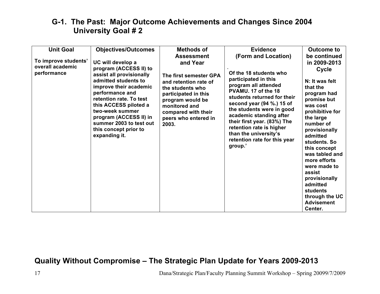#### **G-1. The Past: Major Outcome Achievements and Changes Since 2004 University Goal # 2**

| <b>Unit Goal</b>     | <b>Objectives/Outcomes</b> | <b>Methods of</b>                               | <b>Evidence</b>                                         | <b>Outcome to</b>              |
|----------------------|----------------------------|-------------------------------------------------|---------------------------------------------------------|--------------------------------|
|                      |                            | <b>Assessment</b>                               | (Form and Location)                                     | be continued                   |
| To improve students' | UC will develop a          |                                                 |                                                         |                                |
| overall academic     | program (ACCESS II) to     | and Year                                        |                                                         | in 2009-2013                   |
| performance          | assist all provisionally   |                                                 | Of the 18 students who                                  | Cycle                          |
|                      | admitted students to       | The first semester GPA<br>and retention rate of | participated in this                                    | N: It was felt                 |
|                      | improve their academic     | the students who                                | program all attended                                    | that the                       |
|                      | performance and            | participated in this                            | PVAMU. 17 of the 18                                     | program had                    |
|                      | retention rate. To test    | program would be                                | students returned for their                             | promise but                    |
|                      | this ACCESS piloted a      | monitored and                                   | second year (94 %.) 15 of                               | was cost                       |
|                      | two-week summer            | compared with their                             | the students were in good                               | prohibitive for                |
|                      | program (ACCESS II) in     | peers who entered in                            | academic standing after                                 | the large                      |
|                      | summer 2003 to test out    | 2003.                                           | their first year. (83%) The<br>retention rate is higher | number of                      |
|                      | this concept prior to      |                                                 | than the university's                                   | provisionally                  |
|                      | expanding it.              |                                                 | retention rate for this year                            | admitted                       |
|                      |                            |                                                 | group.'                                                 | students. So                   |
|                      |                            |                                                 |                                                         | this concept<br>was tabled and |
|                      |                            |                                                 |                                                         | more efforts                   |
|                      |                            |                                                 |                                                         | were made to                   |
|                      |                            |                                                 |                                                         | assist                         |
|                      |                            |                                                 |                                                         | provisionally                  |
|                      |                            |                                                 |                                                         | admitted                       |
|                      |                            |                                                 |                                                         | <b>students</b>                |
|                      |                            |                                                 |                                                         | through the UC                 |
|                      |                            |                                                 |                                                         | <b>Advisement</b>              |
|                      |                            |                                                 |                                                         | Center.                        |

#### **Quality Without Compromise – The Strategic Plan Update for Years 2009-2013**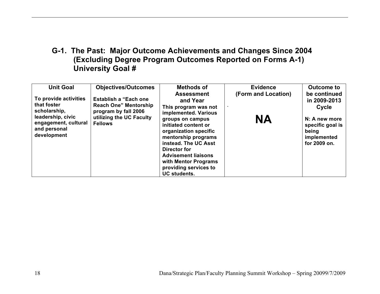#### **G-1. The Past: Major Outcome Achievements and Changes Since 2004 (Excluding Degree Program Outcomes Reported on Forms A-1) University Goal #**

| <b>Unit Goal</b>                                                                                                                 | <b>Objectives/Outcomes</b>                                                                                                   | <b>Methods of</b>                                                                                                                                                                                                                                                                                                       | <b>Evidence</b>                  | Outcome to                                                                                                         |
|----------------------------------------------------------------------------------------------------------------------------------|------------------------------------------------------------------------------------------------------------------------------|-------------------------------------------------------------------------------------------------------------------------------------------------------------------------------------------------------------------------------------------------------------------------------------------------------------------------|----------------------------------|--------------------------------------------------------------------------------------------------------------------|
| To provide activities<br>that foster<br>scholarship,<br>leadership, civic<br>engagement, cultural<br>and personal<br>development | Establish a "Each one"<br><b>Reach One" Mentorship</b><br>program by fall 2006<br>utilizing the UC Faculty<br><b>Fellows</b> | <b>Assessment</b><br>and Year<br>This program was not<br>implemented. Various<br>groups on campus<br>initiated content or<br>organization specific<br>mentorship programs<br>instead. The UC Asst<br>Director for<br><b>Advisement liaisons</b><br>with Mentor Programs<br>providing services to<br><b>UC students.</b> | (Form and Location)<br><b>NA</b> | be continued<br>in 2009-2013<br>Cycle<br>N: A new more<br>specific goal is<br>being<br>implemented<br>for 2009 on. |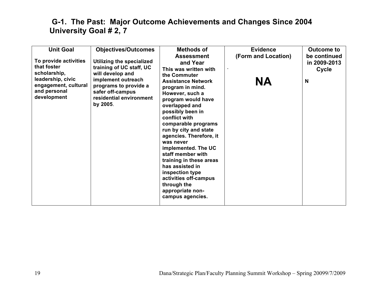#### **G-1. The Past: Major Outcome Achievements and Changes Since 2004 University Goal # 2, 7**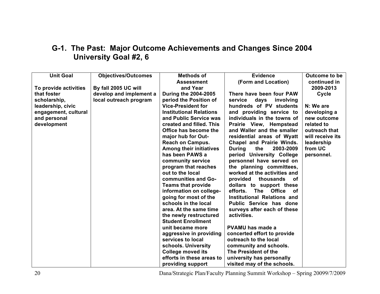## **G-1. The Past: Major Outcome Achievements and Changes Since 2004 University Goal #2, 6**

| <b>Unit Goal</b>      | <b>Objectives/Outcomes</b> | <b>Methods of</b>              | <b>Evidence</b>                    | Outcome to be    |
|-----------------------|----------------------------|--------------------------------|------------------------------------|------------------|
|                       |                            | <b>Assessment</b>              | (Form and Location)                | continued in     |
| To provide activities | By fall 2005 UC will       | and Year                       |                                    | 2009-2013        |
| that foster           | develop and implement a    | <b>During the 2004-2005</b>    | There have been four PAW           | Cycle            |
| scholarship,          | local outreach program     | period the Position of         | days<br>involving<br>service       |                  |
| leadership, civic     |                            | <b>Vice-President for</b>      | hundreds of PV students            | N: We are        |
| engagement, cultural  |                            | <b>Institutional Relations</b> | and providing service to           | developing a     |
| and personal          |                            | and Public Service was         | individuals in the towns of        | new outcome      |
| development           |                            | created and filled. This       | Prairie View, Hempstead            | related to       |
|                       |                            | Office has become the          | and Waller and the smaller         | outreach that    |
|                       |                            | major hub for Out-             | residential areas of Wyatt         | will receive its |
|                       |                            | <b>Reach on Campus.</b>        | <b>Chapel and Prairie Winds.</b>   | leadership       |
|                       |                            | <b>Among their initiatives</b> | <b>During</b><br>the<br>2003-2009  | from UC          |
|                       |                            | has been PAWS a                | period University College          | personnel.       |
|                       |                            | community service              | personnel have served on           |                  |
|                       |                            | program that reaches           | the planning committees,           |                  |
|                       |                            | out to the local               | worked at the activities and       |                  |
|                       |                            | communities and Go-            | provided thousands of              |                  |
|                       |                            | <b>Teams that provide</b>      | dollars to support these           |                  |
|                       |                            | information on college-        | efforts.<br>The<br>Office of       |                  |
|                       |                            | going for most of the          | <b>Institutional Relations and</b> |                  |
|                       |                            | schools in the local           | Public Service has done            |                  |
|                       |                            | area. At the same time         | surveys after each of these        |                  |
|                       |                            | the newly restructured         | activities.                        |                  |
|                       |                            | <b>Student Enrollment</b>      |                                    |                  |
|                       |                            | unit became more               | <b>PVAMU has made a</b>            |                  |
|                       |                            | aggressive in providing        | concerted effort to provide        |                  |
|                       |                            | services to local              | outreach to the local              |                  |
|                       |                            | schools. University            | community and schools.             |                  |
|                       |                            | <b>College moved its</b>       | The President of the               |                  |
|                       |                            | efforts in these areas to      | university has personally          |                  |
|                       |                            | providing support              | visited may of the schools.        |                  |

20 Dana/Strategic Plan/Faculty Planning Summit Workshop – Spring 20099/7/2009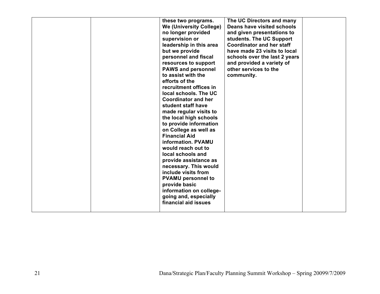| <b>We (University College)</b><br><b>Deans have visited schools</b><br>no longer provided<br>and given presentations to |
|-------------------------------------------------------------------------------------------------------------------------|
|-------------------------------------------------------------------------------------------------------------------------|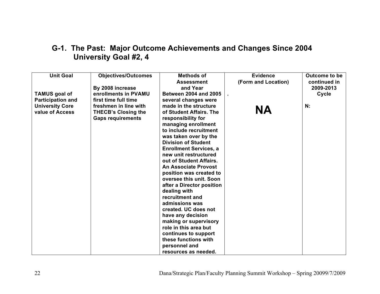### **G-1. The Past: Major Outcome Achievements and Changes Since 2004 University Goal #2, 4**

| <b>Unit Goal</b>         | <b>Objectives/Outcomes</b> | <b>Methods of</b>             | <b>Evidence</b>     | Outcome to be |
|--------------------------|----------------------------|-------------------------------|---------------------|---------------|
|                          |                            | <b>Assessment</b>             | (Form and Location) | continued in  |
|                          | By 2008 increase           | and Year                      |                     | 2009-2013     |
| <b>TAMUS</b> goal of     | enrollments in PVAMU       | <b>Between 2004 and 2005</b>  |                     | Cycle         |
| <b>Participation and</b> | first time full time       | several changes were          |                     |               |
| <b>University Core</b>   | freshmen in line with      | made in the structure         |                     | N:            |
| value of Access          | <b>THECB's Closing the</b> | of Student Affairs. The       | <b>NA</b>           |               |
|                          | <b>Gaps requirements</b>   | responsibility for            |                     |               |
|                          |                            | managing enrollment           |                     |               |
|                          |                            | to include recruitment        |                     |               |
|                          |                            | was taken over by the         |                     |               |
|                          |                            | <b>Division of Student</b>    |                     |               |
|                          |                            | <b>Enrollment Services, a</b> |                     |               |
|                          |                            | new unit restructured         |                     |               |
|                          |                            | out of Student Affairs.       |                     |               |
|                          |                            | <b>An Associate Provost</b>   |                     |               |
|                          |                            | position was created to       |                     |               |
|                          |                            | oversee this unit. Soon       |                     |               |
|                          |                            | after a Director position     |                     |               |
|                          |                            | dealing with                  |                     |               |
|                          |                            | recruitment and               |                     |               |
|                          |                            | admissions was                |                     |               |
|                          |                            | created. UC does not          |                     |               |
|                          |                            | have any decision             |                     |               |
|                          |                            | making or supervisory         |                     |               |
|                          |                            | role in this area but         |                     |               |
|                          |                            | continues to support          |                     |               |
|                          |                            | these functions with          |                     |               |
|                          |                            | personnel and                 |                     |               |
|                          |                            | resources as needed.          |                     |               |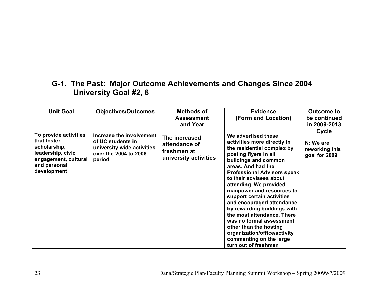### **G-1. The Past: Major Outcome Achievements and Changes Since 2004 University Goal #2, 6**

| <b>Unit Goal</b>                                                                                                                 | <b>Objectives/Outcomes</b>                                                                                     | <b>Methods of</b>                                                                           | <b>Evidence</b><br>(Form and Location)                                                                                                                                                                                                                                                                                                                                                                  | <b>Outcome to</b><br>be continued                     |
|----------------------------------------------------------------------------------------------------------------------------------|----------------------------------------------------------------------------------------------------------------|---------------------------------------------------------------------------------------------|---------------------------------------------------------------------------------------------------------------------------------------------------------------------------------------------------------------------------------------------------------------------------------------------------------------------------------------------------------------------------------------------------------|-------------------------------------------------------|
|                                                                                                                                  |                                                                                                                | and Year                                                                                    |                                                                                                                                                                                                                                                                                                                                                                                                         | in 2009-2013                                          |
| To provide activities<br>that foster<br>scholarship,<br>leadership, civic<br>engagement, cultural<br>and personal<br>development | Increase the involvement<br>of UC students in<br>university wide activities<br>over the 2004 to 2008<br>period | <b>Assessment</b><br>The increased<br>attendance of<br>freshmen at<br>university activities | We advertised these<br>activities more directly in<br>the residential complex by<br>posting flyers in all<br>buildings and common<br>areas. And had the<br><b>Professional Advisors speak</b><br>to their advisees about<br>attending. We provided<br>manpower and resources to<br>support certain activities<br>and encouraged attendance<br>by rewarding buildings with<br>the most attendance. There | Cycle<br>N: We are<br>reworking this<br>goal for 2009 |
|                                                                                                                                  |                                                                                                                |                                                                                             | was no formal assessment<br>other than the hosting                                                                                                                                                                                                                                                                                                                                                      |                                                       |
|                                                                                                                                  |                                                                                                                |                                                                                             | organization/office/activity<br>commenting on the large                                                                                                                                                                                                                                                                                                                                                 |                                                       |
|                                                                                                                                  |                                                                                                                |                                                                                             | turn out of freshmen                                                                                                                                                                                                                                                                                                                                                                                    |                                                       |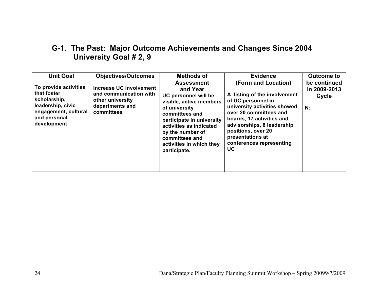### **G-1. The Past: Major Outcome Achievements and Changes Since 2004 University Goal # 2, 9**

| <b>Unit Goal</b><br>To provide activities<br>that foster<br>scholarship,<br>leadership, civic<br>engagement, cultural<br>and personal<br>development | <b>Objectives/Outcomes</b><br>Increase UC involvement<br>and communication with<br>other university<br>departments and<br>committees | Methods of<br><b>Assessment</b><br>and Year<br>UC personnel will be<br>visible, active members<br>of university<br>committees and<br>participate in university<br>activities as indicated<br>by the number of<br>committees and<br>activities in which they<br>participate. | <b>Evidence</b><br>(Form and Location)<br>A listing of the involvement<br>of UC personnel in<br>university activities showed<br>over 20 committees and<br>boards, 17 activities and<br>advisorships, 8 leadership<br>positions, over 20<br>presentations at<br>conferences representing<br><b>UC</b> | <b>Outcome to</b><br>be continued<br>in 2009-2013<br>Cycle<br>N: |
|------------------------------------------------------------------------------------------------------------------------------------------------------|--------------------------------------------------------------------------------------------------------------------------------------|-----------------------------------------------------------------------------------------------------------------------------------------------------------------------------------------------------------------------------------------------------------------------------|------------------------------------------------------------------------------------------------------------------------------------------------------------------------------------------------------------------------------------------------------------------------------------------------------|------------------------------------------------------------------|
|------------------------------------------------------------------------------------------------------------------------------------------------------|--------------------------------------------------------------------------------------------------------------------------------------|-----------------------------------------------------------------------------------------------------------------------------------------------------------------------------------------------------------------------------------------------------------------------------|------------------------------------------------------------------------------------------------------------------------------------------------------------------------------------------------------------------------------------------------------------------------------------------------------|------------------------------------------------------------------|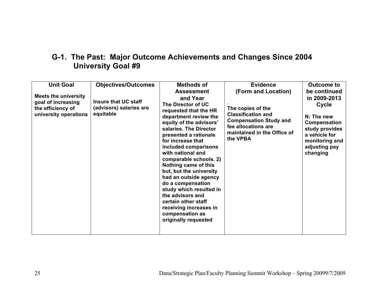#### **G-1. The Past: Major Outcome Achievements and Changes Since 2004 University Goal #9**

| <b>Unit Goal</b><br><b>Meets the university</b><br>goal of increasing<br>the efficiency of<br>university operations | <b>Objectives/Outcomes</b><br>Insure that UC staff<br>(advisors) salaries are<br>equitable | Methods of<br><b>Assessment</b><br>and Year<br>The Director of UC<br>requested that the HR<br>department review the<br>equity of the advisors'<br>salaries. The Director<br>presented a rationale<br>for increase that<br>included comparisons<br>with national and<br>comparable schools. 2)<br>Nothing came of this<br>but, but the university<br>had an outside agency<br>do a compensation<br>study which resulted in<br>the advisors and<br>certain other staff<br>receiving increases in<br>compensation as<br>originally requested | <b>Evidence</b><br>(Form and Location)<br>The copies of the<br><b>Classification and</b><br><b>Compensation Study and</b><br>fee allocations are<br>maintained in the Office of<br>the VPBA | <b>Outcome to</b><br>be continued<br>in 2009-2013<br>Cycle<br>N: The new<br>Compensation<br>study provides<br>a vehicle for<br>monitoring and<br>adjusting pay<br>changing |
|---------------------------------------------------------------------------------------------------------------------|--------------------------------------------------------------------------------------------|-------------------------------------------------------------------------------------------------------------------------------------------------------------------------------------------------------------------------------------------------------------------------------------------------------------------------------------------------------------------------------------------------------------------------------------------------------------------------------------------------------------------------------------------|---------------------------------------------------------------------------------------------------------------------------------------------------------------------------------------------|----------------------------------------------------------------------------------------------------------------------------------------------------------------------------|
|---------------------------------------------------------------------------------------------------------------------|--------------------------------------------------------------------------------------------|-------------------------------------------------------------------------------------------------------------------------------------------------------------------------------------------------------------------------------------------------------------------------------------------------------------------------------------------------------------------------------------------------------------------------------------------------------------------------------------------------------------------------------------------|---------------------------------------------------------------------------------------------------------------------------------------------------------------------------------------------|----------------------------------------------------------------------------------------------------------------------------------------------------------------------------|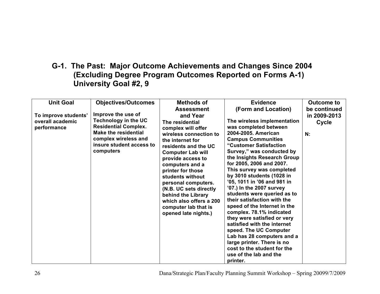**G-1. The Past: Major Outcome Achievements and Changes Since 2004 (Excluding Degree Program Outcomes Reported on Forms A-1) University Goal #2, 9** 

| <b>Unit Goal</b>                                        | <b>Objectives/Outcomes</b>                                                                                                                                                | <b>Methods of</b>                                                                                                                                                                                                                                                                                                                                                                                           | <b>Evidence</b>                                                                                                                                                                                                                                                                                                                                                                                                                                                                                                                                                                                                                                                                                                           | <b>Outcome to</b>                           |
|---------------------------------------------------------|---------------------------------------------------------------------------------------------------------------------------------------------------------------------------|-------------------------------------------------------------------------------------------------------------------------------------------------------------------------------------------------------------------------------------------------------------------------------------------------------------------------------------------------------------------------------------------------------------|---------------------------------------------------------------------------------------------------------------------------------------------------------------------------------------------------------------------------------------------------------------------------------------------------------------------------------------------------------------------------------------------------------------------------------------------------------------------------------------------------------------------------------------------------------------------------------------------------------------------------------------------------------------------------------------------------------------------------|---------------------------------------------|
| To improve students'<br>overall academic<br>performance | Improve the use of<br>Technology in the UC<br><b>Residential Complex.</b><br><b>Make the residential</b><br>complex wireless and<br>insure student access to<br>computers | <b>Assessment</b><br>and Year<br>The residential<br>complex will offer<br>wireless connection to<br>the internet for<br>residents and the UC<br><b>Computer Lab will</b><br>provide access to<br>computers and a<br>printer for those<br>students without<br>personal computers.<br>(N.B. UC sets directly<br>behind the Library<br>which also offers a 200<br>computer lab that is<br>opened late nights.) | (Form and Location)<br>The wireless implementation<br>was completed between<br>2004-2005. American<br><b>Campus Communities</b><br>"Customer Satisfaction<br>Survey," was conducted by<br>the Insights Research Group<br>for 2005, 2006 and 2007.<br>This survey was completed<br>by 3010 students (1028 in<br>'05, 1011 in '06 and 981 in<br>'07.) In the 2007 survey<br>students were queried as to<br>their satisfaction with the<br>speed of the Internet in the<br>complex. 78.1% indicated<br>they were satisfied or very<br>satisfied with the internet<br>speed. The UC Computer<br>Lab has 28 computers and a<br>large printer. There is no<br>cost to the student for the<br>use of the lab and the<br>printer. | be continued<br>in 2009-2013<br>Cycle<br>N: |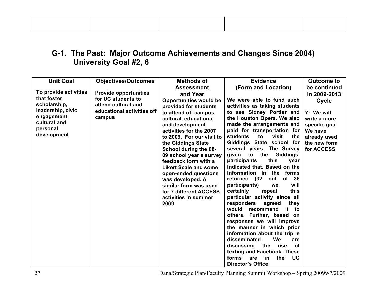# **G-1. The Past: Major Outcome Achievements and Changes Since 2004) University Goal #2, 6**

| <b>Unit Goal</b>      | <b>Objectives/Outcomes</b>   | <b>Methods of</b>             | <b>Evidence</b>                        | <b>Outcome to</b> |
|-----------------------|------------------------------|-------------------------------|----------------------------------------|-------------------|
|                       |                              | <b>Assessment</b>             | (Form and Location)                    | be continued      |
| To provide activities | <b>Provide opportunities</b> | and Year                      |                                        | in 2009-2013      |
| that foster           | for UC students to           | <b>Opportunities would be</b> | We were able to fund such              | <b>Cycle</b>      |
| scholarship,          | attend cultural and          | provided for students         | activities as taking students          |                   |
| leadership, civic     | educational activities off   | to attend off campus          | to see Sidney Portier and              | Y: We will        |
| engagement,           | campus                       | cultural, educational         | the Houston Opera. We also             | write a more      |
| cultural and          |                              | and development               | made the arrangements and              | specific goal.    |
| personal              |                              | activities for the 2007       | paid for transportation for            | We have           |
| development           |                              | to 2009. For our visit to     | <b>students</b><br>to<br>visit<br>the  | already used      |
|                       |                              | the Giddings State            | Giddings State school for              | the new form      |
|                       |                              | School during the 08-         | several years. The Survey              | for ACCESS        |
|                       |                              | 09 school year a survey       | to the Giddings'<br>given              |                   |
|                       |                              | feedback form with a          | this<br>participants<br>year           |                   |
|                       |                              | <b>Likert Scale and some</b>  | indicated that. Based on the           |                   |
|                       |                              | open-ended questions          | information in the forms               |                   |
|                       |                              | was developed. A              | returned (32<br>of<br>36<br>out        |                   |
|                       |                              | similar form was used         | will<br>participants)<br>we            |                   |
|                       |                              | for 7 different ACCESS        | this<br>certainly<br>repeat            |                   |
|                       |                              | activities in summer          | particular activity since all          |                   |
|                       |                              | 2009                          | responders<br>agreed<br>they           |                   |
|                       |                              |                               | would<br>recommend<br>it<br>to         |                   |
|                       |                              |                               | others. Further, based on              |                   |
|                       |                              |                               | responses we will improve              |                   |
|                       |                              |                               | the manner in which prior              |                   |
|                       |                              |                               | information about the trip is          |                   |
|                       |                              |                               | disseminated.<br>We<br>are             |                   |
|                       |                              |                               | the<br><b>of</b><br>discussing<br>use  |                   |
|                       |                              |                               | texting and Facebook. These            |                   |
|                       |                              |                               | <b>UC</b><br>forms<br>in<br>the<br>are |                   |
|                       |                              |                               | <b>Director's Office</b>               |                   |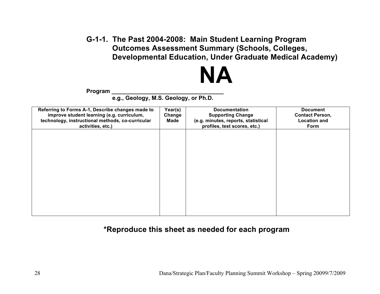#### **G-1-1. The Past 2004-2008: Main Student Learning Program Outcomes Assessment Summary (Schools, Colleges, Developmental Education, Under Graduate Medical Academy)**

# **NA**

**Program \_\_\_\_\_\_\_\_\_\_\_\_\_\_\_\_\_\_\_\_\_\_\_\_\_\_\_\_\_\_\_\_\_\_\_**

**e.g., Geology, M.S. Geology, or Ph.D.** 

| Referring to Forms A-1, Describe changes made to<br>improve student learning (e.g. curriculum,<br>technology, instructional methods, co-curricular<br>activities, etc.) | Year(s)<br>Change<br>Made | <b>Documentation</b><br><b>Supporting Change</b><br>(e.g. minutes, reports, statistical<br>profiles, test scores, etc.) | <b>Document</b><br><b>Contact Person,</b><br><b>Location and</b><br>Form |
|-------------------------------------------------------------------------------------------------------------------------------------------------------------------------|---------------------------|-------------------------------------------------------------------------------------------------------------------------|--------------------------------------------------------------------------|
|                                                                                                                                                                         |                           |                                                                                                                         |                                                                          |
|                                                                                                                                                                         |                           |                                                                                                                         |                                                                          |
|                                                                                                                                                                         |                           |                                                                                                                         |                                                                          |
|                                                                                                                                                                         |                           |                                                                                                                         |                                                                          |

#### **\*Reproduce this sheet as needed for each program**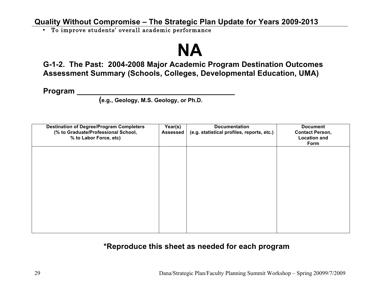• To improve students' overall academic performance

# **NA**

**G-1-2. The Past: 2004-2008 Major Academic Program Destination Outcomes Assessment Summary (Schools, Colleges, Developmental Education, UMA)**

**Program \_\_\_\_\_\_\_\_\_\_\_\_\_\_\_\_\_\_\_\_\_\_\_\_\_\_\_\_\_\_\_\_\_\_\_\_\_**

 **(e.g., Geology, M.S. Geology, or Ph.D.** 

| <b>Destination of Degree/Program Completers</b><br>(% to Graduate/Professional School,<br>% to Labor Force, etc) | Year(s)<br><b>Assessed</b> | <b>Documentation</b><br>(e.g. statistical profiles, reports, etc.) | <b>Document</b><br><b>Contact Person,</b><br><b>Location and</b><br>Form |
|------------------------------------------------------------------------------------------------------------------|----------------------------|--------------------------------------------------------------------|--------------------------------------------------------------------------|
|                                                                                                                  |                            |                                                                    |                                                                          |
|                                                                                                                  |                            |                                                                    |                                                                          |
|                                                                                                                  |                            |                                                                    |                                                                          |
|                                                                                                                  |                            |                                                                    |                                                                          |

#### **\*Reproduce this sheet as needed for each program**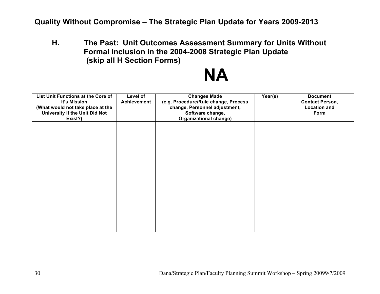**H. The Past: Unit Outcomes Assessment Summary for Units Without Formal Inclusion in the 2004-2008 Strategic Plan Update (skip all H Section Forms)**

# **NA**

| List Unit Functions at the Core of<br>it's Mission<br>(What would not take place at the<br>University if the Unit Did Not<br>Exist?) | Level of<br><b>Achievement</b> | <b>Changes Made</b><br>(e.g. Procedure/Rule change, Process<br>change, Personnel adjustment,<br>Software change,<br><b>Organizational change)</b> | Year(s) | <b>Document</b><br><b>Contact Person,</b><br><b>Location and</b><br>Form |
|--------------------------------------------------------------------------------------------------------------------------------------|--------------------------------|---------------------------------------------------------------------------------------------------------------------------------------------------|---------|--------------------------------------------------------------------------|
|                                                                                                                                      |                                |                                                                                                                                                   |         |                                                                          |
|                                                                                                                                      |                                |                                                                                                                                                   |         |                                                                          |
|                                                                                                                                      |                                |                                                                                                                                                   |         |                                                                          |
|                                                                                                                                      |                                |                                                                                                                                                   |         |                                                                          |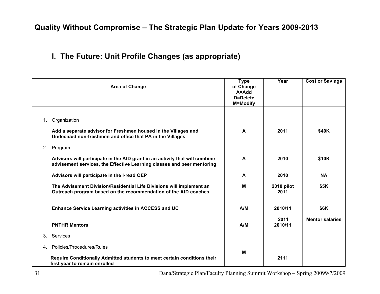## **I. The Future: Unit Profile Changes (as appropriate)**

|         | <b>Area of Change</b>                                                                                                                                 | <b>Type</b><br>of Change<br>$A = Add$<br>D=Delete<br>M=Modify | Year               | <b>Cost or Savings</b> |
|---------|-------------------------------------------------------------------------------------------------------------------------------------------------------|---------------------------------------------------------------|--------------------|------------------------|
| 1.      | Organization<br>Add a separate advisor for Freshmen housed in the Villages and                                                                        | $\mathbf{A}$                                                  | 2011               | \$40K                  |
| 2.      | Undecided non-freshmen and office that PA in the Villages<br>Program                                                                                  |                                                               |                    |                        |
|         | Advisors will participate in the AtD grant in an activity that will combine<br>advisement services, the Effective Learning classes and peer mentoring | A                                                             | 2010               | \$10K                  |
|         | Advisors will participate in the I-read QEP                                                                                                           | A                                                             | 2010               | <b>NA</b>              |
|         | The Advisement Division/Residential Life Divisions will implement an<br>Outreach program based on the recommendation of the AtD coaches               | M                                                             | 2010 pilot<br>2011 | \$5K                   |
|         | <b>Enhance Service Learning activities in ACCESS and UC</b>                                                                                           | A/M                                                           | 2010/11            | \$6K                   |
|         | <b>PNTHR Mentors</b>                                                                                                                                  | A/M                                                           | 2011<br>2010/11    | <b>Mentor salaries</b> |
| $3_{-}$ | Services                                                                                                                                              |                                                               |                    |                        |
| 4.      | Policies/Procedures/Rules                                                                                                                             | M                                                             |                    |                        |
|         | Require Conditionally Admitted students to meet certain conditions their<br>first year to remain enrolled                                             |                                                               | 2111               |                        |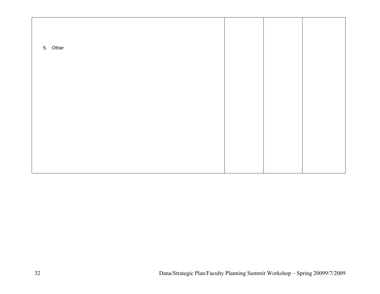| 5. Other |  |  |
|----------|--|--|
|          |  |  |
|          |  |  |
|          |  |  |
|          |  |  |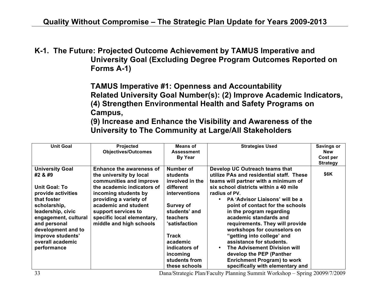**K-1. The Future: Projected Outcome Achievement by TAMUS Imperative and University Goal (Excluding Degree Program Outcomes Reported on Forms A-1)**

> **TAMUS Imperative #1: Openness and Accountability Related University Goal Number(s): (2) Improve Academic Indicators, (4) Strengthen Environmental Health and Safety Programs on Campus,**

**(9) Increase and Enhance the Visibility and Awareness of the University to The Community at Large/All Stakeholders**

| <b>Unit Goal</b>                                                                                                                                                                                                                                          | Projected<br><b>Objectives/Outcomes</b>                                                                                                                                                                                                                                       | Means of<br><b>Assessment</b><br><b>By Year</b>                                                                                                                                                                                            | <b>Strategies Used</b>                                                                                                                                                                                                                                                                                                                                                                                                                                                                                                                                                      | Savings or<br><b>New</b><br>Cost per<br><b>Strategy</b> |
|-----------------------------------------------------------------------------------------------------------------------------------------------------------------------------------------------------------------------------------------------------------|-------------------------------------------------------------------------------------------------------------------------------------------------------------------------------------------------------------------------------------------------------------------------------|--------------------------------------------------------------------------------------------------------------------------------------------------------------------------------------------------------------------------------------------|-----------------------------------------------------------------------------------------------------------------------------------------------------------------------------------------------------------------------------------------------------------------------------------------------------------------------------------------------------------------------------------------------------------------------------------------------------------------------------------------------------------------------------------------------------------------------------|---------------------------------------------------------|
| <b>University Goal</b><br>#2 & #9<br><b>Unit Goal: To</b><br>provide activities<br>that foster<br>scholarship,<br>leadership, civic<br>engagement, cultural<br>and personal<br>development and to<br>improve students'<br>overall academic<br>performance | <b>Enhance the awareness of</b><br>the university by local<br>communities and improve<br>the academic indicators of<br>incoming students by<br>providing a variety of<br>academic and student<br>support services to<br>specific local elementary,<br>middle and high schools | Number of<br>students<br>involved in the<br>different<br><i>interventions</i><br>Survey of<br>students' and<br><b>teachers</b><br>'satisfaction<br><b>Track</b><br>academic<br>indicators of<br>incoming<br>students from<br>these schools | Develop UC Outreach teams that<br>utilize PAs and residential staff. These<br>teams will partner with a minimum of<br>six school districts within a 40 mile<br>radius of PV.<br>PA 'Advisor Liaisons' will be a<br>point of contact for the schools<br>in the program regarding<br>academic standards and<br>requirements. They will provide<br>workshops for counselors on<br>"getting into college' and<br>assistance for students.<br>The Advisement Division will<br>develop the PEP (Panther<br><b>Enrichment Program) to work</b><br>specifically with elementary and | \$6K                                                    |

33 Dana/Strategic Plan/Faculty Planning Summit Workshop – Spring 20099/7/2009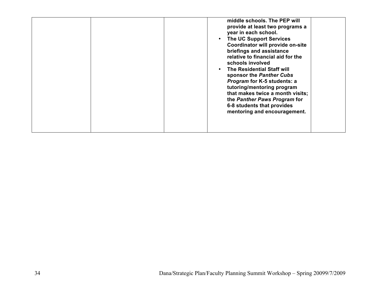|  | middle schools. The PEP will<br>provide at least two programs a<br>year in each school.<br><b>The UC Support Services</b><br>$\bullet$<br><b>Coordinator will provide on-site</b><br>briefings and assistance<br>relative to financial aid for the<br>schools involved<br><b>The Residential Staff will</b><br>$\bullet$<br>sponsor the Panther Cubs<br>Program for K-5 students: a<br>tutoring/mentoring program<br>that makes twice a month visits;<br>the Panther Paws Program for<br>6-8 students that provides<br>mentoring and encouragement. |
|--|-----------------------------------------------------------------------------------------------------------------------------------------------------------------------------------------------------------------------------------------------------------------------------------------------------------------------------------------------------------------------------------------------------------------------------------------------------------------------------------------------------------------------------------------------------|
|--|-----------------------------------------------------------------------------------------------------------------------------------------------------------------------------------------------------------------------------------------------------------------------------------------------------------------------------------------------------------------------------------------------------------------------------------------------------------------------------------------------------------------------------------------------------|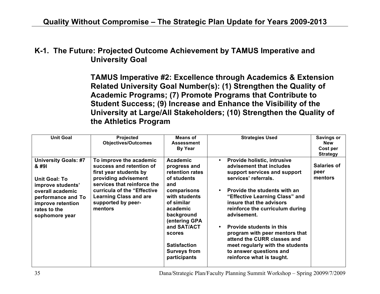#### **K-1. The Future: Projected Outcome Achievement by TAMUS Imperative and University Goal**

**TAMUS Imperative #2: Excellence through Academics & Extension Related University Goal Number(s): (1) Strengthen the Quality of Academic Programs; (7) Promote Programs that Contribute to Student Success; (9) Increase and Enhance the Visibility of the University at Large/All Stakeholders; (10) Strengthen the Quality of the Athletics Program**

| <b>Unit Goal</b>                                                                              | Projected<br><b>Objectives/Outcomes</b>                                                                                              | <b>Means of</b><br><b>Assessment</b><br><b>By Year</b>                                | <b>Strategies Used</b>                                                                                                                                           | <b>Savings or</b><br><b>New</b><br>Cost per<br><b>Strategy</b> |
|-----------------------------------------------------------------------------------------------|--------------------------------------------------------------------------------------------------------------------------------------|---------------------------------------------------------------------------------------|------------------------------------------------------------------------------------------------------------------------------------------------------------------|----------------------------------------------------------------|
| <b>University Goals: #7</b><br>& #91<br><b>Unit Goal: To</b><br>improve students'             | To improve the academic<br>success and retention of<br>first year students by<br>providing advisement<br>services that reinforce the | <b>Academic</b><br>progress and<br>retention rates<br>of students<br>and              | <b>Provide holistic, intrusive</b><br>$\bullet$<br>advisement that includes<br>support services and support<br>services' referrals.                              | <b>Salaries of</b><br>peer<br>mentors                          |
| overall academic<br>performance and To<br>improve retention<br>rates to the<br>sophomore year | curricula of the "Effective"<br><b>Learning Class and are</b><br>supported by peer-<br>mentors                                       | comparisons<br>with students<br>of similar<br>academic<br>background<br>(entering GPA | <b>Provide the students with an</b><br>$\bullet$<br>"Effective Learning Class" and<br>insure that the advisors<br>reinforce the curriculum during<br>advisement. |                                                                |
|                                                                                               |                                                                                                                                      | and SAT/ACT<br>scores<br><b>Satisfaction</b>                                          | <b>Provide students in this</b><br>$\bullet$<br>program with peer mentors that<br>attend the CURR classes and<br>meet regularly with the students                |                                                                |
|                                                                                               |                                                                                                                                      | <b>Surveys from</b><br>participants                                                   | to answer questions and<br>reinforce what is taught.                                                                                                             |                                                                |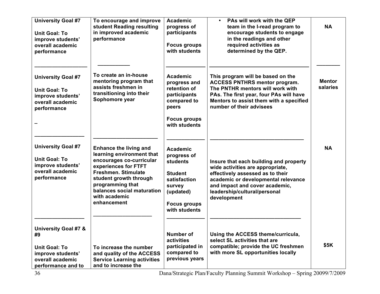| <b>University Goal #7</b><br><b>Unit Goal: To</b><br>improve students'<br>overall academic<br>performance                    | To encourage and improve<br>student Reading resulting<br>in improved academic<br>performance                                                                                                                                                             | <b>Academic</b><br>progress of<br>participants<br><b>Focus groups</b><br>with students                                                             | PAs will work with the QEP<br>$\bullet$<br>team in the I-read program to<br>encourage students to engage<br>in the readings and other<br>required activities as<br>determined by the QEP.                                              | <b>NA</b>                 |
|------------------------------------------------------------------------------------------------------------------------------|----------------------------------------------------------------------------------------------------------------------------------------------------------------------------------------------------------------------------------------------------------|----------------------------------------------------------------------------------------------------------------------------------------------------|----------------------------------------------------------------------------------------------------------------------------------------------------------------------------------------------------------------------------------------|---------------------------|
| <b>University Goal #7</b><br><b>Unit Goal: To</b><br>improve students'<br>overall academic<br>performance                    | To create an in-house<br>mentoring program that<br>assists freshmen in<br>transitioning into their<br>Sophomore year                                                                                                                                     | <b>Academic</b><br>progress and<br>retention of<br>participants<br>compared to<br>peers                                                            | This program will be based on the<br><b>ACCESS PNTHRS mentor program.</b><br>The PNTHR mentors will work with<br>PAs. The first year, four PAs will have<br>Mentors to assist them with a specified<br>number of their advisees        | <b>Mentor</b><br>salaries |
|                                                                                                                              |                                                                                                                                                                                                                                                          | <b>Focus groups</b><br>with students                                                                                                               |                                                                                                                                                                                                                                        |                           |
| <b>University Goal #7</b><br><b>Unit Goal: To</b><br>improve students'<br>overall academic<br>performance                    | <b>Enhance the living and</b><br>learning environment that<br>encourages co-curricular<br>experiences for FTFT<br><b>Freshmen. Stimulate</b><br>student growth through<br>programming that<br>balances social maturation<br>with academic<br>enhancement | <b>Academic</b><br>progress of<br><b>students</b><br><b>Student</b><br>satisfaction<br>survey<br>(updated)<br><b>Focus groups</b><br>with students | Insure that each building and property<br>wide activities are appropriate,<br>effectively assessed as to their<br>academic or developmental relevance<br>and impact and cover academic,<br>leadership/cultural/personal<br>development | <b>NA</b>                 |
| <b>University Goal #7 &amp;</b><br>#9<br><b>Unit Goal: To</b><br>improve students'<br>overall academic<br>performance and to | To increase the number<br>and quality of the ACCESS<br><b>Service Learning activities</b><br>and to increase the                                                                                                                                         | <b>Number of</b><br>activities<br>participated in<br>compared to<br>previous years                                                                 | Using the ACCESS theme/curricula,<br>select SL activities that are<br>compatible; provide the UC freshmen<br>with more SL opportunities locally                                                                                        | \$5K                      |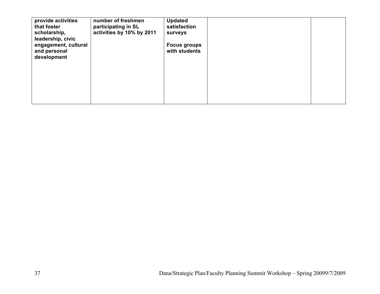| provide activities<br>that foster<br>scholarship,<br>leadership, civic | number of freshmen<br>participating in SL<br>activities by 10% by 2011 | <b>Updated</b><br>satisfaction<br><b>surveys</b> |  |
|------------------------------------------------------------------------|------------------------------------------------------------------------|--------------------------------------------------|--|
| engagement, cultural<br>and personal                                   |                                                                        | <b>Focus groups</b><br>with students             |  |
| development                                                            |                                                                        |                                                  |  |
|                                                                        |                                                                        |                                                  |  |
|                                                                        |                                                                        |                                                  |  |
|                                                                        |                                                                        |                                                  |  |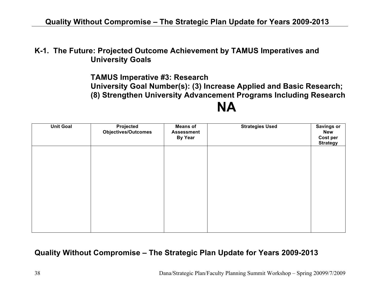**K-1. The Future: Projected Outcome Achievement by TAMUS Imperatives and University Goals**

**TAMUS Imperative #3: Research**

**University Goal Number(s): (3) Increase Applied and Basic Research;** 

**(8) Strengthen University Advancement Programs Including Research**

**NA**

| <b>Unit Goal</b> | <b>Projected</b><br>Objectives/Outcomes | <b>Means of</b><br><b>Assessment</b><br><b>By Year</b> | <b>Strategies Used</b> | <b>Savings or</b><br><b>New</b><br>Cost per<br><b>Strategy</b> |
|------------------|-----------------------------------------|--------------------------------------------------------|------------------------|----------------------------------------------------------------|
|                  |                                         |                                                        |                        |                                                                |
|                  |                                         |                                                        |                        |                                                                |
|                  |                                         |                                                        |                        |                                                                |
|                  |                                         |                                                        |                        |                                                                |

#### **Quality Without Compromise – The Strategic Plan Update for Years 2009-2013**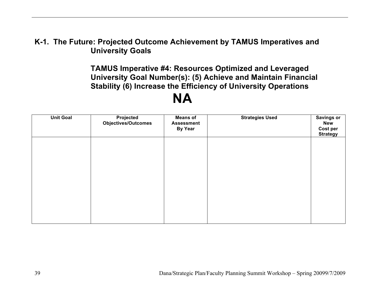**K-1. The Future: Projected Outcome Achievement by TAMUS Imperatives and University Goals**

> **TAMUS Imperative #4: Resources Optimized and Leveraged University Goal Number(s): (5) Achieve and Maintain Financial Stability (6) Increase the Efficiency of University Operations**

> > **NA**

| <b>Unit Goal</b> | Projected<br>Objectives/Outcomes | <b>Means of</b><br><b>Assessment</b><br><b>By Year</b> | <b>Strategies Used</b> | <b>Savings or</b><br><b>New</b><br><b>Cost per</b><br><b>Strategy</b> |
|------------------|----------------------------------|--------------------------------------------------------|------------------------|-----------------------------------------------------------------------|
|                  |                                  |                                                        |                        |                                                                       |
|                  |                                  |                                                        |                        |                                                                       |
|                  |                                  |                                                        |                        |                                                                       |
|                  |                                  |                                                        |                        |                                                                       |